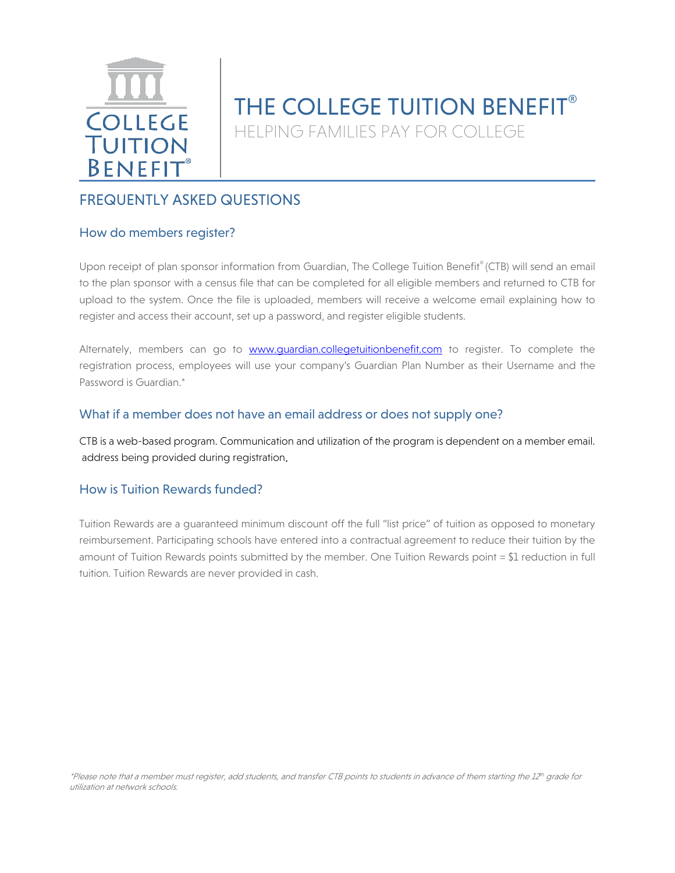

# THE COLLEGE TUITION BENEFIT<sup>®</sup> HELPING FAMILIES PAY FOR COLLEGE

## FREQUENTLY ASKED QUESTIONS

## How do members register?

Upon receipt of plan sponsor information from Guardian, The College Tuition Benefit® (CTB) will send an email to the plan sponsor with a census file that can be completed for all eligible members and returned to CTB for upload to the system. Once the file is uploaded, members will receive a welcome email explaining how to register and access their account, set up a password, and register eligible students.

Alternately, members can go to [www.guardian.collegetuitionbenefit.com](http://www.guardian.collegetuitionbenefit.com/) to register. To complete the registration process, employees will use your company's Guardian Plan Number as their Username and the Password is Guardian.\*

#### What if a member does not have an email address or does not supply one?

CTB is a web-based program. Communication and utilization of the program is dependent on a member email. address being provided during registration.

## How is Tuition Rewards funded?

Tuition Rewards are a guaranteed minimum discount off the full "list price" of tuition as opposed to monetary reimbursement. Participating schools have entered into a contractual agreement to reduce their tuition by the amount of Tuition Rewards points submitted by the member. One Tuition Rewards point = \$1 reduction in full tuition. Tuition Rewards are never provided in cash.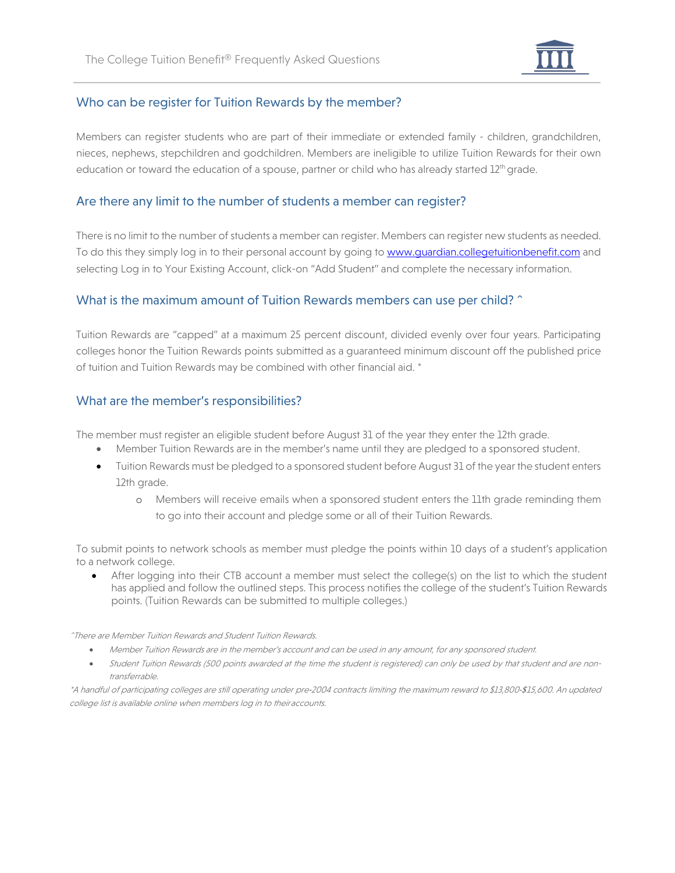

## Who can be register for Tuition Rewards by the member?

Members can register students who are part of their immediate or extended family - children, grandchildren, nieces, nephews, stepchildren and godchildren. Members are ineligible to utilize Tuition Rewards for their own education or toward the education of a spouse, partner or child who has already started 12<sup>th</sup> grade.

#### Are there any limit to the number of students a member can register?

There is no limit to the number of students a member can register. Members can register new students as needed. To do this they simply log in to their personal account by going to [www.guardian.collegetuitionbenefit.com](http://www.guardian.collegetuitionbenefit.com/) and selecting Log in to Your Existing Account, click-on "Add Student" and complete the necessary information.

## What is the maximum amount of Tuition Rewards members can use per child? ^

Tuition Rewards are "capped" at a maximum 25 percent discount, divided evenly over four years. Participating colleges honor the Tuition Rewards points submitted as a guaranteed minimum discount off the published price of tuition and Tuition Rewards may be combined with other financial aid. \*

## What are the member's responsibilities?

The member must register an eligible student before August 31 of the year they enter the 12th grade.

- Member Tuition Rewards are in the member's name until they are pledged to a sponsored student.
- Tuition Rewards must be pledged to a sponsored student before August 31 of the year the student enters 12th grade.
	- o Members will receive emails when a sponsored student enters the 11th grade reminding them to go into their account and pledge some or all of their Tuition Rewards.

To submit points to network schools as member must pledge the points within 10 days of a student's application to a network college.

• After logging into their CTB account a member must select the college(s) on the list to which the student has applied and follow the outlined steps. This process notifies the college of the student's Tuition Rewards points. (Tuition Rewards can be submitted to multiple colleges.)

^There are Member Tuition Rewards and Student Tuition Rewards.

- Member Tuition Rewards are in the member's account and can be used in any amount, for any sponsored student.
- Student Tuition Rewards (500 points awarded at the time the student is registered) can only be used by that student and are nontransferrable.

\*A handful of participating colleges are still operating under pre‐2004 contracts limiting the maximum reward to \$13,800‐\$15,600. An updated college list is available online when members log in to theiraccounts.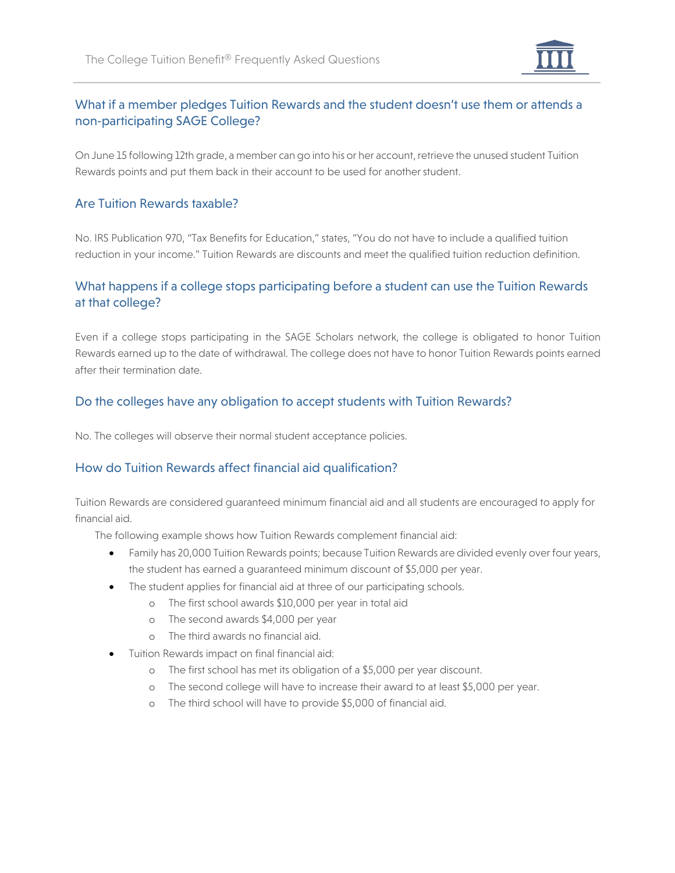

## What if a member pledges Tuition Rewards and the student doesn't use them or attends a non‐participating SAGE College?

On June 15 following 12th grade, a member can go into his or her account, retrieve the unused student Tuition Rewards points and put them back in their account to be used for another student.

## Are Tuition Rewards taxable?

No. IRS Publication 970, "Tax Benefits for Education," states, "You do not have to include a qualified tuition reduction in your income." Tuition Rewards are discounts and meet the qualified tuition reduction definition.

## What happens if a college stops participating before a student can use the Tuition Rewards at that college?

Even if a college stops participating in the SAGE Scholars network, the college is obligated to honor Tuition Rewards earned up to the date of withdrawal. The college does not have to honor Tuition Rewards points earned after their termination date.

## Do the colleges have any obligation to accept students with Tuition Rewards?

No. The colleges will observe their normal student acceptance policies.

## How do Tuition Rewards affect financial aid qualification?

Tuition Rewards are considered guaranteed minimum financial aid and all students are encouraged to apply for financial aid.

The following example shows how Tuition Rewards complement financial aid:

- Family has 20,000 Tuition Rewards points; because Tuition Rewards are divided evenly over four years, the student has earned a guaranteed minimum discount of \$5,000 per year.
- The student applies for financial aid at three of our participating schools.
	- o The first school awards \$10,000 per year in total aid
	- o The second awards \$4,000 per year
	- o The third awards no financial aid.
- Tuition Rewards impact on final financial aid:
	- o The first school has met its obligation of a \$5,000 per year discount.
	- o The second college will have to increase their award to at least \$5,000 per year.
	- o The third school will have to provide \$5,000 of financial aid.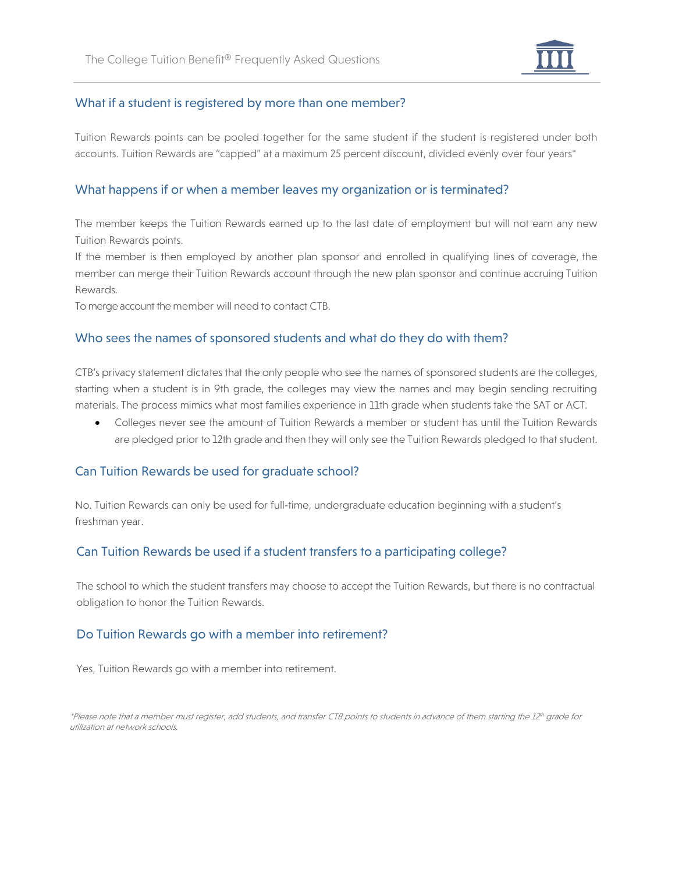

## What if a student is registered by more than one member?

Tuition Rewards points can be pooled together for the same student if the student is registered under both accounts. Tuition Rewards are "capped" at a maximum 25 percent discount, divided evenly over four years\*

#### What happens if or when a member leaves my organization or is terminated?

The member keeps the Tuition Rewards earned up to the last date of employment but will not earn any new Tuition Rewards points.

If the member is then employed by another plan sponsor and enrolled in qualifying lines of coverage, the member can merge their Tuition Rewards account through the new plan sponsor and continue accruing Tuition Rewards.

To merge account the member will need to contact CTB.

#### Who sees the names of sponsored students and what do they do with them?

CTB's privacy statement dictates that the only people who see the names of sponsored students are the colleges, starting when a student is in 9th grade, the colleges may view the names and may begin sending recruiting materials. The process mimics what most families experience in 11th grade when students take the SAT or ACT.

• Colleges never see the amount of Tuition Rewards a member or student has until the Tuition Rewards are pledged prior to 12th grade and then they will only see the Tuition Rewards pledged to that student.

#### Can Tuition Rewards be used for graduate school?

No. Tuition Rewards can only be used for full‐time, undergraduate education beginning with a student's freshman year.

## Can Tuition Rewards be used if a student transfers to a participating college?

The school to which the student transfers may choose to accept the Tuition Rewards, but there is no contractual obligation to honor the Tuition Rewards.

#### Do Tuition Rewards go with a member into retirement?

Yes, Tuition Rewards go with a member into retirement.

\*Please note that a member must register, add students, and transfer CTB points to students in advance of them starting the 12th grade for utilization at network schools.